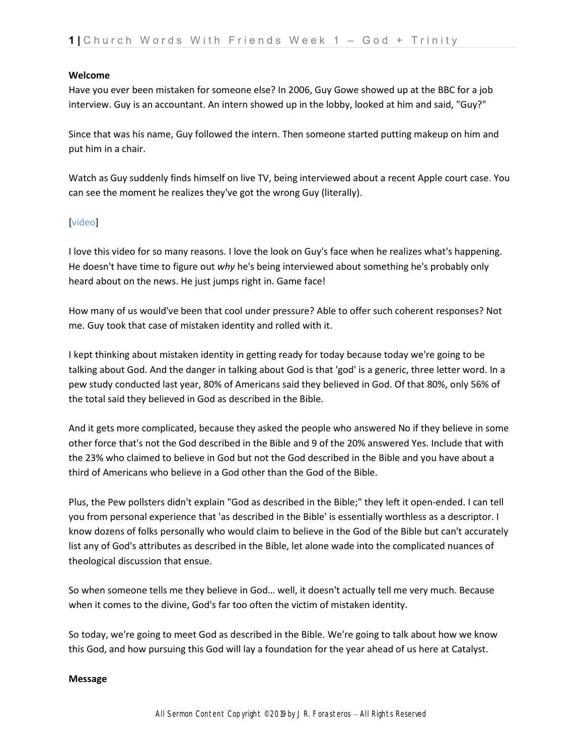## **Welcome**

Have you ever been mistaken for someone else? In 2006, Guy Gowe showed up at the BBC for a job interview. Guy is an accountant. An intern showed up in the lobby, looked at him and said, "Guy?"

Since that was his name, Guy followed the intern. Then someone started putting makeup on him and put him in a chair.

Watch as Guy suddenly finds himself on live TV, being interviewed about a recent Apple court case. You can see the moment he realizes they've got the wrong Guy (literally).

## video<sup>1</sup>

I love this video for so many reasons. I love the look on Guy's face when he realizes what's happening. He doesn't have time to figure out *why* he's being interviewed about something he's probably only heard about on the news. He just jumps right in. Game face!

How many of us would've been that cool under pressure? Able to offer such coherent responses? Not me. Guy took that case of mistaken identity and rolled with it.

I kept thinking about mistaken identity in getting ready for today because today we're going to be talking about God. And the danger in talking about God is that 'god' is a generic, three letter word. In a pew study conducted last year, 80% of Americans said they believed in God. Of that 80%, only 56% of the total said they believed in God as described in the Bible.

And it gets more complicated, because they asked the people who answered No if they believe in some other force that's not the God described in the Bible and 9 of the 20% answered Yes. Include that with the 23% who claimed to believe in God but not the God described in the Bible and you have about a third of Americans who believe in a God other than the God of the Bible.

Plus, the Pew pollsters didn't explain "God as described in the Bible;" they left it open-ended. I can tell you from personal experience that 'as described in the Bible' is essentially worthless as a descriptor. I know dozens of folks personally who would claim to believe in the God of the Bible but can't accurately list any of God's attributes as described in the Bible, let alone wade into the complicated nuances of theological discussion that ensue.

So when someone tells me they believe in God… well, it doesn't actually tell me very much. Because when it comes to the divine, God's far too often the victim of mistaken identity.

So today, we're going to meet God as described in the Bible. We're going to talk about how we know this God, and how pursuing this God will lay a foundation for the year ahead of us here at Catalyst.

## **Message**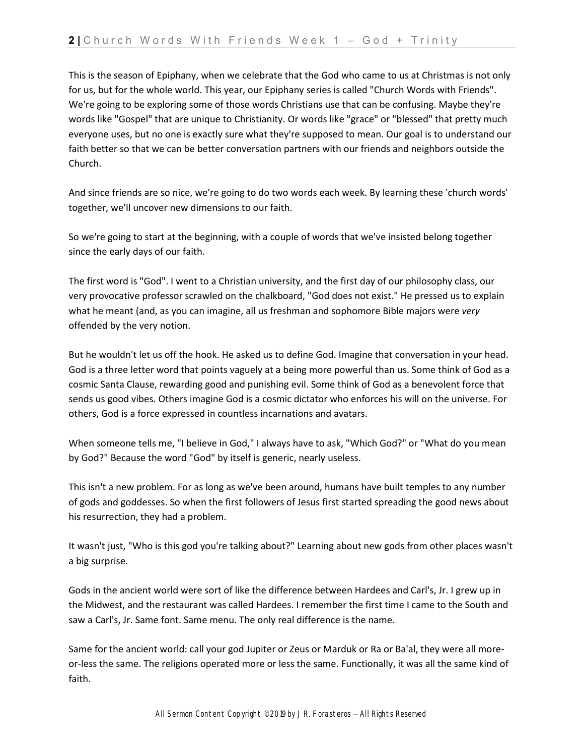This is the season of Epiphany, when we celebrate that the God who came to us at Christmas is not only for us, but for the whole world. This year, our Epiphany series is called "Church Words with Friends". We're going to be exploring some of those words Christians use that can be confusing. Maybe they're words like "Gospel" that are unique to Christianity. Or words like "grace" or "blessed" that pretty much everyone uses, but no one is exactly sure what they're supposed to mean. Our goal is to understand our faith better so that we can be better conversation partners with our friends and neighbors outside the Church.

And since friends are so nice, we're going to do two words each week. By learning these 'church words' together, we'll uncover new dimensions to our faith.

So we're going to start at the beginning, with a couple of words that we've insisted belong together since the early days of our faith.

The first word is "God". I went to a Christian university, and the first day of our philosophy class, our very provocative professor scrawled on the chalkboard, "God does not exist." He pressed us to explain what he meant (and, as you can imagine, all us freshman and sophomore Bible majors were *very*  offended by the very notion.

But he wouldn't let us off the hook. He asked us to define God. Imagine that conversation in your head. God is a three letter word that points vaguely at a being more powerful than us. Some think of God as a cosmic Santa Clause, rewarding good and punishing evil. Some think of God as a benevolent force that sends us good vibes. Others imagine God is a cosmic dictator who enforces his will on the universe. For others, God is a force expressed in countless incarnations and avatars.

When someone tells me, "I believe in God," I always have to ask, "Which God?" or "What do you mean by God?" Because the word "God" by itself is generic, nearly useless.

This isn't a new problem. For as long as we've been around, humans have built temples to any number of gods and goddesses. So when the first followers of Jesus first started spreading the good news about his resurrection, they had a problem.

It wasn't just, "Who is this god you're talking about?" Learning about new gods from other places wasn't a big surprise.

Gods in the ancient world were sort of like the difference between Hardees and Carl's, Jr. I grew up in the Midwest, and the restaurant was called Hardees. I remember the first time I came to the South and saw a Carl's, Jr. Same font. Same menu. The only real difference is the name.

Same for the ancient world: call your god Jupiter or Zeus or Marduk or Ra or Ba'al, they were all moreor-less the same. The religions operated more or less the same. Functionally, it was all the same kind of faith.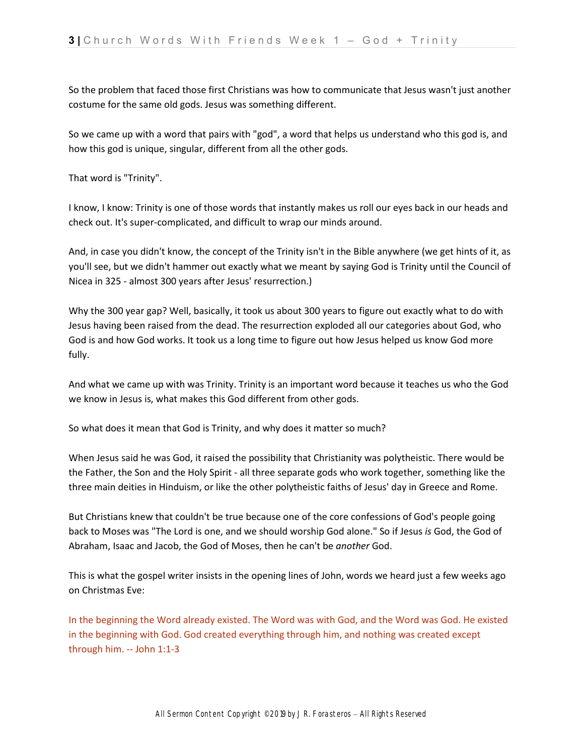So the problem that faced those first Christians was how to communicate that Jesus wasn't just another costume for the same old gods. Jesus was something different.

So we came up with a word that pairs with "god", a word that helps us understand who this god is, and how this god is unique, singular, different from all the other gods.

That word is "Trinity".

I know, I know: Trinity is one of those words that instantly makes us roll our eyes back in our heads and check out. It's super-complicated, and difficult to wrap our minds around.

And, in case you didn't know, the concept of the Trinity isn't in the Bible anywhere (we get hints of it, as you'll see, but we didn't hammer out exactly what we meant by saying God is Trinity until the Council of Nicea in 325 - almost 300 years after Jesus' resurrection.)

Why the 300 year gap? Well, basically, it took us about 300 years to figure out exactly what to do with Jesus having been raised from the dead. The resurrection exploded all our categories about God, who God is and how God works. It took us a long time to figure out how Jesus helped us know God more fully.

And what we came up with was Trinity. Trinity is an important word because it teaches us who the God we know in Jesus is, what makes this God different from other gods.

So what does it mean that God is Trinity, and why does it matter so much?

When Jesus said he was God, it raised the possibility that Christianity was polytheistic. There would be the Father, the Son and the Holy Spirit - all three separate gods who work together, something like the three main deities in Hinduism, or like the other polytheistic faiths of Jesus' day in Greece and Rome.

But Christians knew that couldn't be true because one of the core confessions of God's people going back to Moses was "The Lord is one, and we should worship God alone." So if Jesus *is* God, the God of Abraham, Isaac and Jacob, the God of Moses, then he can't be *another* God.

This is what the gospel writer insists in the opening lines of John, words we heard just a few weeks ago on Christmas Eve:

In the beginning the Word already existed. The Word was with God, and the Word was God. He existed in the beginning with God. God created everything through him, and nothing was created except through him. -- John 1:1-3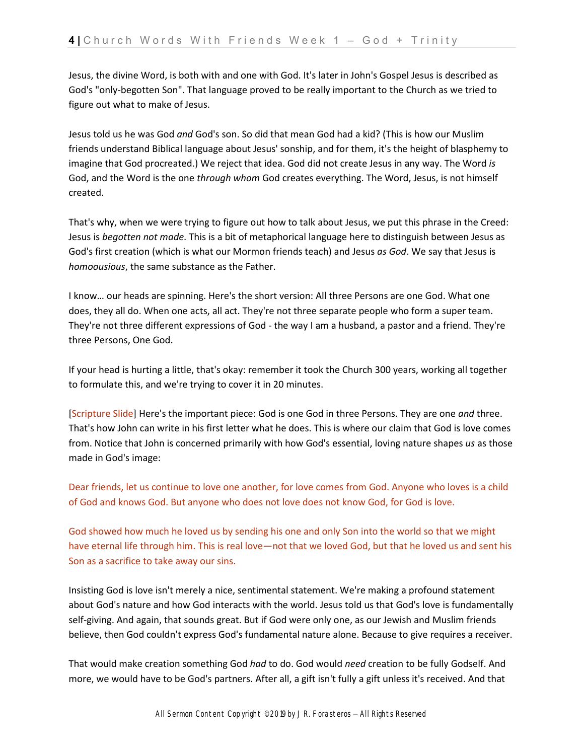Jesus, the divine Word, is both with and one with God. It's later in John's Gospel Jesus is described as God's "only-begotten Son". That language proved to be really important to the Church as we tried to figure out what to make of Jesus.

Jesus told us he was God *and* God's son. So did that mean God had a kid? (This is how our Muslim friends understand Biblical language about Jesus' sonship, and for them, it's the height of blasphemy to imagine that God procreated.) We reject that idea. God did not create Jesus in any way. The Word *is*  God, and the Word is the one *through whom* God creates everything. The Word, Jesus, is not himself created.

That's why, when we were trying to figure out how to talk about Jesus, we put this phrase in the Creed: Jesus is *begotten not made*. This is a bit of metaphorical language here to distinguish between Jesus as God's first creation (which is what our Mormon friends teach) and Jesus *as God*. We say that Jesus is *homoousious*, the same substance as the Father.

I know… our heads are spinning. Here's the short version: All three Persons are one God. What one does, they all do. When one acts, all act. They're not three separate people who form a super team. They're not three different expressions of God - the way I am a husband, a pastor and a friend. They're three Persons, One God.

If your head is hurting a little, that's okay: remember it took the Church 300 years, working all together to formulate this, and we're trying to cover it in 20 minutes.

[Scripture Slide] Here's the important piece: God is one God in three Persons. They are one *and* three. That's how John can write in his first letter what he does. This is where our claim that God is love comes from. Notice that John is concerned primarily with how God's essential, loving nature shapes *us* as those made in God's image:

Dear friends, let us continue to love one another, for love comes from God. Anyone who loves is a child of God and knows God. But anyone who does not love does not know God, for God is love.

God showed how much he loved us by sending his one and only Son into the world so that we might have eternal life through him. This is real love—not that we loved God, but that he loved us and sent his Son as a sacrifice to take away our sins.

Insisting God is love isn't merely a nice, sentimental statement. We're making a profound statement about God's nature and how God interacts with the world. Jesus told us that God's love is fundamentally self-giving. And again, that sounds great. But if God were only one, as our Jewish and Muslim friends believe, then God couldn't express God's fundamental nature alone. Because to give requires a receiver.

That would make creation something God *had* to do. God would *need* creation to be fully Godself. And more, we would have to be God's partners. After all, a gift isn't fully a gift unless it's received. And that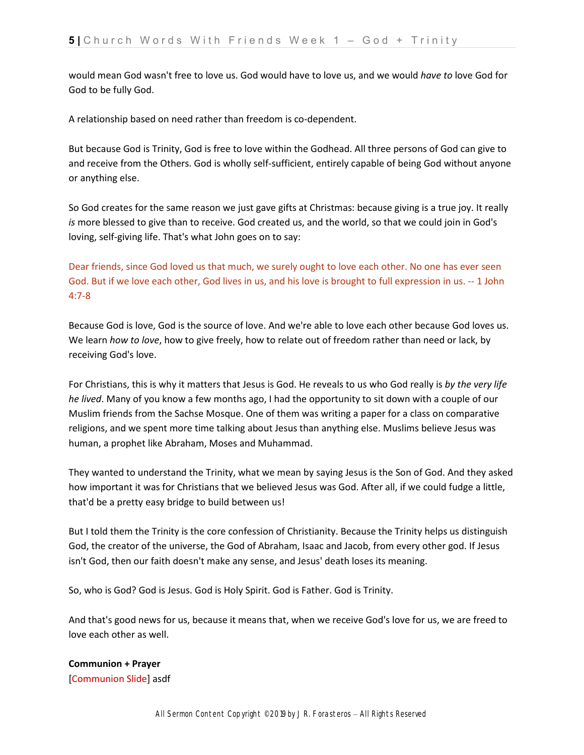would mean God wasn't free to love us. God would have to love us, and we would *have to* love God for God to be fully God.

A relationship based on need rather than freedom is co-dependent.

But because God is Trinity, God is free to love within the Godhead. All three persons of God can give to and receive from the Others. God is wholly self-sufficient, entirely capable of being God without anyone or anything else.

So God creates for the same reason we just gave gifts at Christmas: because giving is a true joy. It really *is* more blessed to give than to receive. God created us, and the world, so that we could join in God's loving, self-giving life. That's what John goes on to say:

Dear friends, since God loved us that much, we surely ought to love each other. No one has ever seen God. But if we love each other, God lives in us, and his love is brought to full expression in us. -- 1 John 4:7-8

Because God is love, God is the source of love. And we're able to love each other because God loves us. We learn *how to love*, how to give freely, how to relate out of freedom rather than need or lack, by receiving God's love.

For Christians, this is why it matters that Jesus is God. He reveals to us who God really is *by the very life he lived*. Many of you know a few months ago, I had the opportunity to sit down with a couple of our Muslim friends from the Sachse Mosque. One of them was writing a paper for a class on comparative religions, and we spent more time talking about Jesus than anything else. Muslims believe Jesus was human, a prophet like Abraham, Moses and Muhammad.

They wanted to understand the Trinity, what we mean by saying Jesus is the Son of God. And they asked how important it was for Christians that we believed Jesus was God. After all, if we could fudge a little, that'd be a pretty easy bridge to build between us!

But I told them the Trinity is the core confession of Christianity. Because the Trinity helps us distinguish God, the creator of the universe, the God of Abraham, Isaac and Jacob, from every other god. If Jesus isn't God, then our faith doesn't make any sense, and Jesus' death loses its meaning.

So, who is God? God is Jesus. God is Holy Spirit. God is Father. God is Trinity.

And that's good news for us, because it means that, when we receive God's love for us, we are freed to love each other as well.

**Communion + Prayer** [Communion Slide] asdf